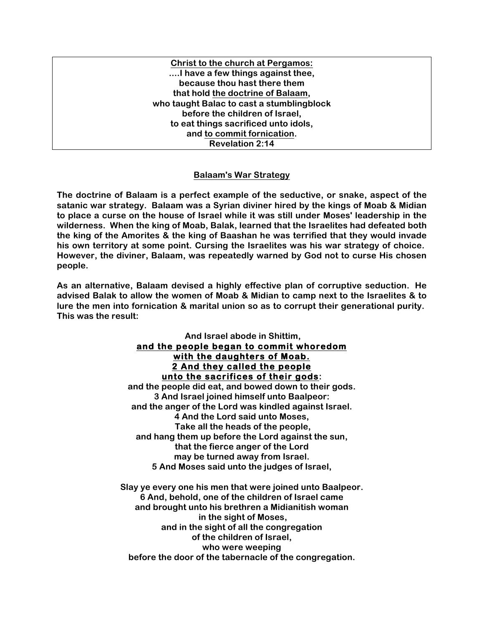**Christ to the church at Pergamos: ....I have a few things against thee, because thou hast there them that hold the doctrine of Balaam, who taught Balac to cast a stumblingblock before the children of Israel, to eat things sacrificed unto idols, and to commit fornication. Revelation 2:14**

#### **Balaam's War Strategy**

**The doctrine of Balaam is a perfect example of the seductive, or snake, aspect of the satanic war strategy. Balaam was a Syrian diviner hired by the kings of Moab & Midian to place a curse on the house of Israel while it was still under Moses' leadership in the wilderness. When the king of Moab, Balak, learned that the Israelites had defeated both the king of the Amorites & the king of Baashan he was terrified that they would invade his own territory at some point. Cursing the Israelites was his war strategy of choice. However, the diviner, Balaam, was repeatedly warned by God not to curse His chosen people.**

**As an alternative, Balaam devised a highly effective plan of corruptive seduction. He advised Balak to allow the women of Moab & Midian to camp next to the Israelites & to lure the men into fornication & marital union so as to corrupt their generational purity. This was the result:**

### **And Israel abode in Shittim, and the people began to commit whoredom with the daughters of Moab. 2 And they called the people unto the sacrifices of their gods:**

**and the people did eat, and bowed down to their gods. 3 And Israel joined himself unto Baalpeor: and the anger of the Lord was kindled against Israel. 4 And the Lord said unto Moses, Take all the heads of the people, and hang them up before the Lord against the sun, that the fierce anger of the Lord may be turned away from Israel. 5 And Moses said unto the judges of Israel,**

**Slay ye every one his men that were joined unto Baalpeor. 6 And, behold, one of the children of Israel came and brought unto his brethren a Midianitish woman in the sight of Moses, and in the sight of all the congregation of the children of Israel, who were weeping before the door of the tabernacle of the congregation.**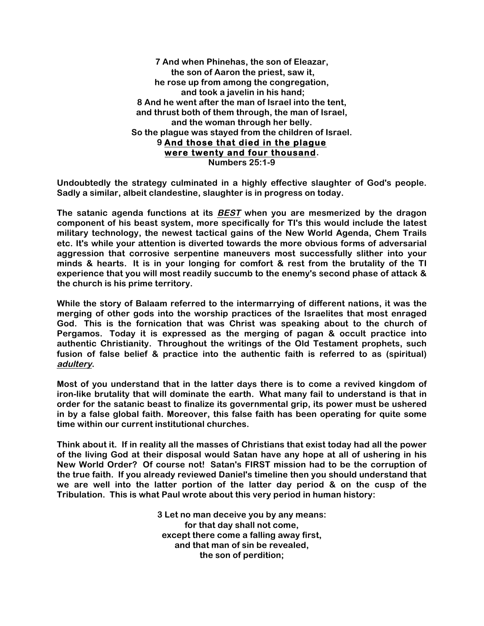**7 And when Phinehas, the son of Eleazar, the son of Aaron the priest, saw it, he rose up from among the congregation, and took a javelin in his hand; 8 And he went after the man of Israel into the tent, and thrust both of them through, the man of Israel, and the woman through her belly. So the plague was stayed from the children of Israel. 9 And those that died in the plague were twenty and four thousand. Numbers 25:1-9**

**Undoubtedly the strategy culminated in a highly effective slaughter of God's people. Sadly a similar, albeit clandestine, slaughter is in progress on today.**

**The satanic agenda functions at its BEST when you are mesmerized by the dragon component of his beast system, more specifically for TI's this would include the latest military technology, the newest tactical gains of the New World Agenda, Chem Trails etc. It's while your attention is diverted towards the more obvious forms of adversarial aggression that corrosive serpentine maneuvers most successfully slither into your minds & hearts. It is in your longing for comfort & rest from the brutality of the TI experience that you will most readily succumb to the enemy's second phase of attack & the church is his prime territory.**

**While the story of Balaam referred to the intermarrying of different nations, it was the merging of other gods into the worship practices of the Israelites that most enraged God. This is the fornication that was Christ was speaking about to the church of Pergamos. Today it is expressed as the merging of pagan & occult practice into authentic Christianity. Throughout the writings of the Old Testament prophets, such fusion of false belief & practice into the authentic faith is referred to as (spiritual) adultery.**

**Most of you understand that in the latter days there is to come a revived kingdom of iron-like brutality that will dominate the earth. What many fail to understand is that in order for the satanic beast to finalize its governmental grip, its power must be ushered in by a false global faith. Moreover, this false faith has been operating for quite some time within our current institutional churches.**

**Think about it. If in reality all the masses of Christians that exist today had all the power of the living God at their disposal would Satan have any hope at all of ushering in his New World Order? Of course not! Satan's FIRST mission had to be the corruption of the true faith. If you already reviewed Daniel's timeline then you should understand that we are well into the latter portion of the latter day period & on the cusp of the Tribulation. This is what Paul wrote about this very period in human history:**

> **3 Let no man deceive you by any means: for that day shall not come, except there come a falling away first, and that man of sin be revealed, the son of perdition;**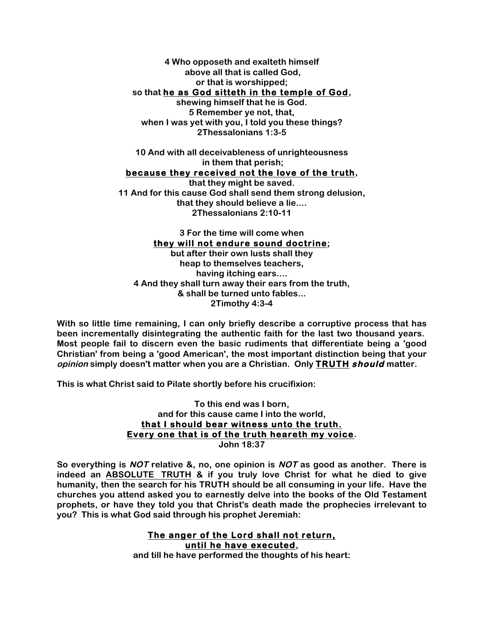**4 Who opposeth and exalteth himself above all that is called God, or that is worshipped; so that he as God sitteth in the temple of God, shewing himself that he is God. 5 Remember ye not, that, when I was yet with you, I told you these things? 2Thessalonians 1:3-5**

**10 And with all deceivableness of unrighteousness in them that perish; because they received not the love of the truth, that they might be saved.**

**11 And for this cause God shall send them strong delusion, that they should believe a lie.... 2Thessalonians 2:10-11**

**3 For the time will come when they will not endure sound doctrine; but after their own lusts shall they heap to themselves teachers, having itching ears.... 4 And they shall turn away their ears from the truth, & shall be turned unto fables... 2Timothy 4:3-4**

**With so little time remaining, I can only briefly describe a corruptive process that has been incrementally disintegrating the authentic faith for the last two thousand years. Most people fail to discern even the basic rudiments that differentiate being a 'good Christian' from being a 'good American', the most important distinction being that your opinion simply doesn't matter when you are a Christian. Only TRUTH should matter.**

**This is what Christ said to Pilate shortly before his crucifixion:**

**To this end was I born, and for this cause came I into the world, that I should bear witness unto the truth. Every one that is of the truth heareth my voice. John 18:37**

**So everything is NOT relative &, no, one opinion is NOT as good as another. There is indeed an ABSOLUTE TRUTH & if you truly love Christ for what he died to give humanity, then the search for his TRUTH should be all consuming in your life. Have the churches you attend asked you to earnestly delve into the books of the Old Testament prophets, or have they told you that Christ's death made the prophecies irrelevant to you? This is what God said through his prophet Jeremiah:**

> **The anger of the Lord shall not return, until he have executed, and till he have performed the thoughts of his heart:**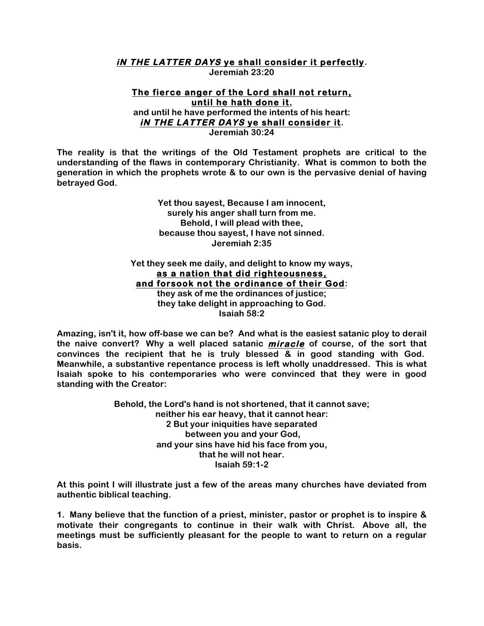# **iN THE LATTER DAYS ye shall consider it perfectly.**

**Jeremiah 23:20**

#### **The fierce anger of the Lord shall not return, until he hath done it, and until he have performed the intents of his heart: iN THE LATTER DAYS ye shall consider it. Jeremiah 30:24**

**The reality is that the writings of the Old Testament prophets are critical to the understanding of the flaws in contemporary Christianity. What is common to both the generation in which the prophets wrote & to our own is the pervasive denial of having betrayed God.** 

> **Yet thou sayest, Because I am innocent, surely his anger shall turn from me. Behold, I will plead with thee, because thou sayest, I have not sinned. Jeremiah 2:35**

**Yet they seek me daily, and delight to know my ways, as a nation that did righteousness, and forsook not the ordinance of their God: they ask of me the ordinances of justice; they take delight in approaching to God. Isaiah 58:2**

**Amazing, isn't it, how off-base we can be? And what is the easiest satanic ploy to derail the naive convert? Why a well placed satanic miracle of course, of the sort that convinces the recipient that he is truly blessed & in good standing with God. Meanwhile, a substantive repentance process is left wholly unaddressed. This is what Isaiah spoke to his contemporaries who were convinced that they were in good standing with the Creator:**

> **Behold, the Lord's hand is not shortened, that it cannot save; neither his ear heavy, that it cannot hear: 2 But your iniquities have separated between you and your God, and your sins have hid his face from you, that he will not hear. Isaiah 59:1-2**

**At this point I will illustrate just a few of the areas many churches have deviated from authentic biblical teaching.**

**1. Many believe that the function of a priest, minister, pastor or prophet is to inspire & motivate their congregants to continue in their walk with Christ. Above all, the meetings must be sufficiently pleasant for the people to want to return on a regular basis.**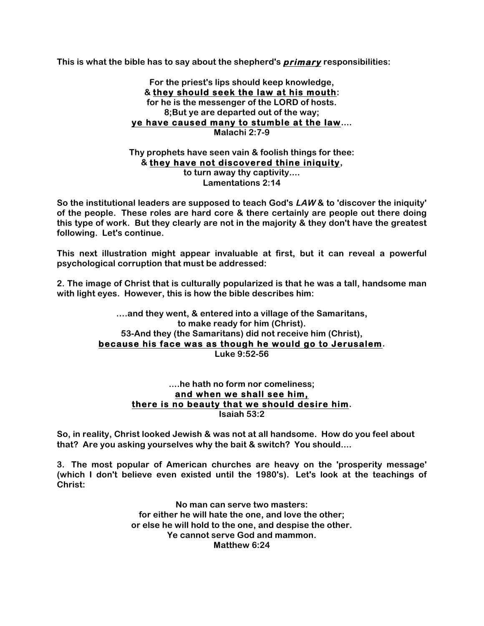**This is what the bible has to say about the shepherd's primary responsibilities:**

**For the priest's lips should keep knowledge, & they should seek the law at his mouth: for he is the messenger of the LORD of hosts. 8;But ye are departed out of the way; ye have caused many to stumble at the law.... Malachi 2:7-9**

**Thy prophets have seen vain & foolish things for thee: & they have not discovered thine iniquity, to turn away thy captivity.... Lamentations 2:14**

**So the institutional leaders are supposed to teach God's LAW & to 'discover the iniquity' of the people. These roles are hard core & there certainly are people out there doing this type of work. But they clearly are not in the majority & they don't have the greatest following. Let's continue.**

**This next illustration might appear invaluable at first, but it can reveal a powerful psychological corruption that must be addressed:**

**2. The image of Christ that is culturally popularized is that he was a tall, handsome man with light eyes. However, this is how the bible describes him:**

> **….and they went, & entered into a village of the Samaritans, to make ready for him (Christ). 53-And they (the Samaritans) did not receive him (Christ), because his face was as though he would go to Jerusalem. Luke 9:52-56**

#### **....he hath no form nor comeliness; and when we shall see him, there is no beauty that we should desire him. Isaiah 53:2**

**So, in reality, Christ looked Jewish & was not at all handsome. How do you feel about that? Are you asking yourselves why the bait & switch? You should....**

**3. The most popular of American churches are heavy on the 'prosperity message' (which I don't believe even existed until the 1980's). Let's look at the teachings of Christ:**

> **No man can serve two masters: for either he will hate the one, and love the other; or else he will hold to the one, and despise the other. Ye cannot serve God and mammon. Matthew 6:24**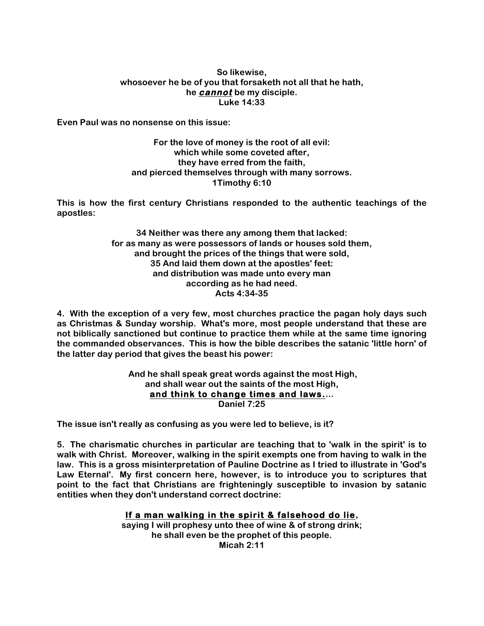## **So likewise, whosoever he be of you that forsaketh not all that he hath, he cannot be my disciple. Luke 14:33**

**Even Paul was no nonsense on this issue:**

**For the love of money is the root of all evil: which while some coveted after, they have erred from the faith, and pierced themselves through with many sorrows. 1Timothy 6:10**

**This is how the first century Christians responded to the authentic teachings of the apostles:**

> **34 Neither was there any among them that lacked: for as many as were possessors of lands or houses sold them, and brought the prices of the things that were sold, 35 And laid them down at the apostles' feet: and distribution was made unto every man according as he had need. Acts 4:34-35**

**4. With the exception of a very few, most churches practice the pagan holy days such as Christmas & Sunday worship. What's more, most people understand that these are not biblically sanctioned but continue to practice them while at the same time ignoring the commanded observances. This is how the bible describes the satanic 'little horn' of the latter day period that gives the beast his power:**

> **And he shall speak great words against the most High, and shall wear out the saints of the most High, and think to change times and laws.... Daniel 7:25**

**The issue isn't really as confusing as you were led to believe, is it?**

**5. The charismatic churches in particular are teaching that to 'walk in the spirit' is to walk with Christ. Moreover, walking in the spirit exempts one from having to walk in the law. This is a gross misinterpretation of Pauline Doctrine as I tried to illustrate in 'God's Law Eternal'. My first concern here, however, is to introduce you to scriptures that point to the fact that Christians are frighteningly susceptible to invasion by satanic entities when they don't understand correct doctrine:**

# **If a man walking in the spirit & falsehood do lie,**

**saying I will prophesy unto thee of wine & of strong drink; he shall even be the prophet of this people. Micah 2:11**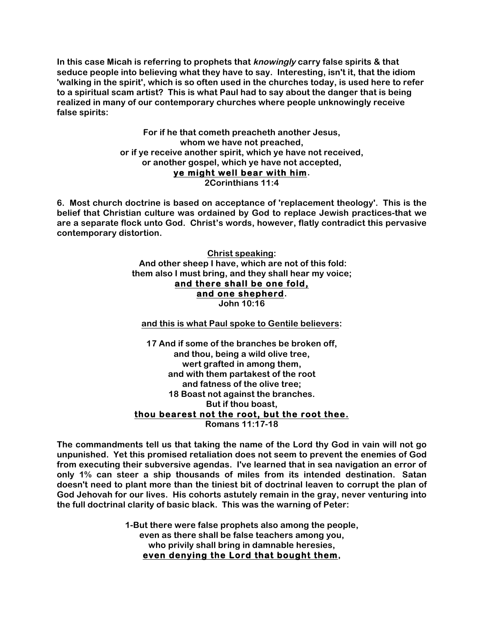**In this case Micah is referring to prophets that knowingly carry false spirits & that seduce people into believing what they have to say. Interesting, isn't it, that the idiom 'walking in the spirit', which is so often used in the churches today, is used here to refer to a spiritual scam artist? This is what Paul had to say about the danger that is being realized in many of our contemporary churches where people unknowingly receive false spirits:**

> **For if he that cometh preacheth another Jesus, whom we have not preached, or if ye receive another spirit, which ye have not received, or another gospel, which ye have not accepted, ye might well bear with him. 2Corinthians 11:4**

**6. Most church doctrine is based on acceptance of 'replacement theology'. This is the belief that Christian culture was ordained by God to replace Jewish practices-that we are a separate flock unto God. Christ's words, however, flatly contradict this pervasive contemporary distortion.**

> **Christ speaking: And other sheep I have, which are not of this fold: them also I must bring, and they shall hear my voice; and there shall be one fold, and one shepherd. John 10:16**

**and this is what Paul spoke to Gentile believers:**

**17 And if some of the branches be broken off, and thou, being a wild olive tree, wert grafted in among them, and with them partakest of the root and fatness of the olive tree; 18 Boast not against the branches. But if thou boast, thou bearest not the root, but the root thee. Romans 11:17-18**

**The commandments tell us that taking the name of the Lord thy God in vain will not go unpunished. Yet this promised retaliation does not seem to prevent the enemies of God from executing their subversive agendas. I've learned that in sea navigation an error of only 1% can steer a ship thousands of miles from its intended destination. Satan doesn't need to plant more than the tiniest bit of doctrinal leaven to corrupt the plan of God Jehovah for our lives. His cohorts astutely remain in the gray, never venturing into the full doctrinal clarity of basic black. This was the warning of Peter:**

> **1-But there were false prophets also among the people, even as there shall be false teachers among you, who privily shall bring in damnable heresies, even denying the Lord that bought them,**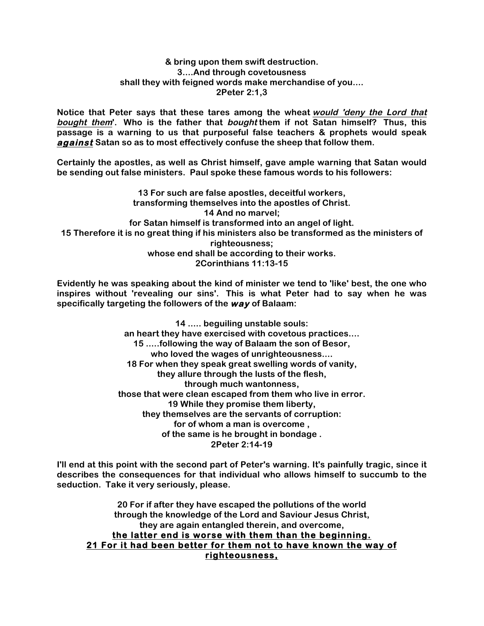#### **& bring upon them swift destruction. 3....And through covetousness shall they with feigned words make merchandise of you.... 2Peter 2:1,3**

**Notice that Peter says that these tares among the wheat would 'deny the Lord that bought them'. Who is the father that bought them if not Satan himself? Thus, this passage is a warning to us that purposeful false teachers & prophets would speak against Satan so as to most effectively confuse the sheep that follow them.**

**Certainly the apostles, as well as Christ himself, gave ample warning that Satan would be sending out false ministers. Paul spoke these famous words to his followers:**

**13 For such are false apostles, deceitful workers, transforming themselves into the apostles of Christ. 14 And no marvel; for Satan himself is transformed into an angel of light. 15 Therefore it is no great thing if his ministers also be transformed as the ministers of righteousness; whose end shall be according to their works. 2Corinthians 11:13-15**

**Evidently he was speaking about the kind of minister we tend to 'like' best, the one who inspires without 'revealing our sins'. This is what Peter had to say when he was specifically targeting the followers of the way of Balaam:**

> **14 ..... beguiling unstable souls: an heart they have exercised with covetous practices.... 15 .....following the way of Balaam the son of Besor, who loved the wages of unrighteousness.... 18 For when they speak great swelling words of vanity, they allure through the lusts of the flesh, through much wantonness, those that were clean escaped from them who live in error. 19 While they promise them liberty, they themselves are the servants of corruption: for of whom a man is overcome , of the same is he brought in bondage . 2Peter 2:14-19**

**I'll end at this point with the second part of Peter's warning. It's painfully tragic, since it describes the consequences for that individual who allows himself to succumb to the seduction. Take it very seriously, please.**

**20 For if after they have escaped the pollutions of the world through the knowledge of the Lord and Saviour Jesus Christ, they are again entangled therein, and overcome, the latter end is worse with them than the beginning. 21 For it had been better for them not to have known the way of righteousness,**